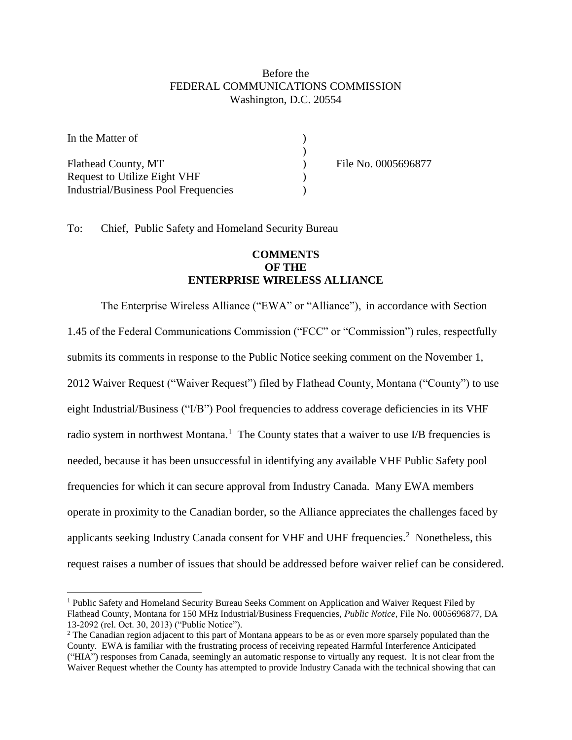## Before the FEDERAL COMMUNICATIONS COMMISSION Washington, D.C. 20554

| In the Matter of                            |                     |
|---------------------------------------------|---------------------|
|                                             |                     |
| Flathead County, MT                         | File No. 0005696877 |
| <b>Request to Utilize Eight VHF</b>         |                     |
| <b>Industrial/Business Pool Frequencies</b> |                     |

To: Chief, Public Safety and Homeland Security Bureau

 $\overline{a}$ 

## **COMMENTS OF THE ENTERPRISE WIRELESS ALLIANCE**

The Enterprise Wireless Alliance ("EWA" or "Alliance"), in accordance with Section 1.45 of the Federal Communications Commission ("FCC" or "Commission") rules, respectfully submits its comments in response to the Public Notice seeking comment on the November 1, 2012 Waiver Request ("Waiver Request") filed by Flathead County, Montana ("County") to use eight Industrial/Business ("I/B") Pool frequencies to address coverage deficiencies in its VHF radio system in northwest Montana.<sup>1</sup> The County states that a waiver to use I/B frequencies is needed, because it has been unsuccessful in identifying any available VHF Public Safety pool frequencies for which it can secure approval from Industry Canada. Many EWA members operate in proximity to the Canadian border, so the Alliance appreciates the challenges faced by applicants seeking Industry Canada consent for VHF and UHF frequencies.<sup>2</sup> Nonetheless, this request raises a number of issues that should be addressed before waiver relief can be considered.

<sup>&</sup>lt;sup>1</sup> Public Safety and Homeland Security Bureau Seeks Comment on Application and Waiver Request Filed by Flathead County, Montana for 150 MHz Industrial/Business Frequencies, *Public Notice*, File No. 0005696877, DA 13-2092 (rel. Oct. 30, 2013) ("Public Notice").

<sup>&</sup>lt;sup>2</sup> The Canadian region adjacent to this part of Montana appears to be as or even more sparsely populated than the County. EWA is familiar with the frustrating process of receiving repeated Harmful Interference Anticipated ("HIA") responses from Canada, seemingly an automatic response to virtually any request. It is not clear from the Waiver Request whether the County has attempted to provide Industry Canada with the technical showing that can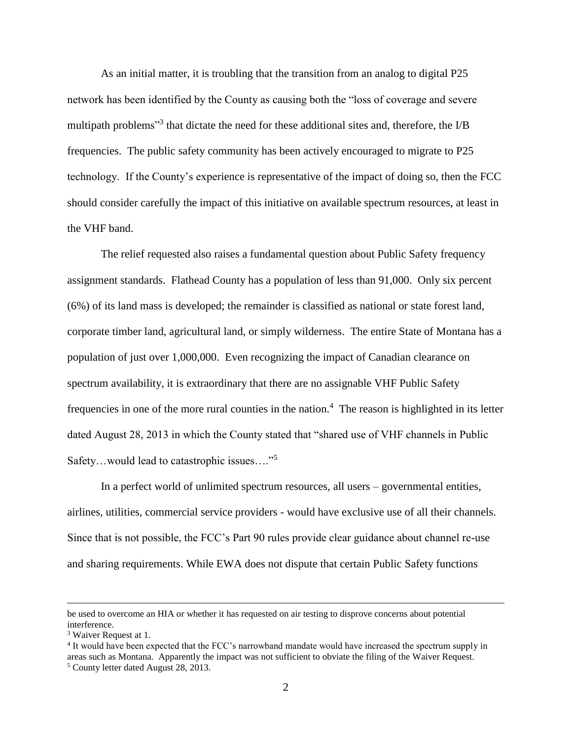As an initial matter, it is troubling that the transition from an analog to digital P25 network has been identified by the County as causing both the "loss of coverage and severe multipath problems<sup>33</sup> that dictate the need for these additional sites and, therefore, the I/B frequencies. The public safety community has been actively encouraged to migrate to P25 technology. If the County's experience is representative of the impact of doing so, then the FCC should consider carefully the impact of this initiative on available spectrum resources, at least in the VHF band.

The relief requested also raises a fundamental question about Public Safety frequency assignment standards. Flathead County has a population of less than 91,000. Only six percent (6%) of its land mass is developed; the remainder is classified as national or state forest land, corporate timber land, agricultural land, or simply wilderness. The entire State of Montana has a population of just over 1,000,000. Even recognizing the impact of Canadian clearance on spectrum availability, it is extraordinary that there are no assignable VHF Public Safety frequencies in one of the more rural counties in the nation.<sup>4</sup> The reason is highlighted in its letter dated August 28, 2013 in which the County stated that "shared use of VHF channels in Public Safety…would lead to catastrophic issues…."<sup>5</sup>

In a perfect world of unlimited spectrum resources, all users – governmental entities, airlines, utilities, commercial service providers - would have exclusive use of all their channels. Since that is not possible, the FCC's Part 90 rules provide clear guidance about channel re-use and sharing requirements. While EWA does not dispute that certain Public Safety functions

 $\overline{a}$ 

be used to overcome an HIA or whether it has requested on air testing to disprove concerns about potential interference.

<sup>&</sup>lt;sup>3</sup> Waiver Request at 1.

<sup>4</sup> It would have been expected that the FCC's narrowband mandate would have increased the spectrum supply in areas such as Montana. Apparently the impact was not sufficient to obviate the filing of the Waiver Request. <sup>5</sup> County letter dated August 28, 2013.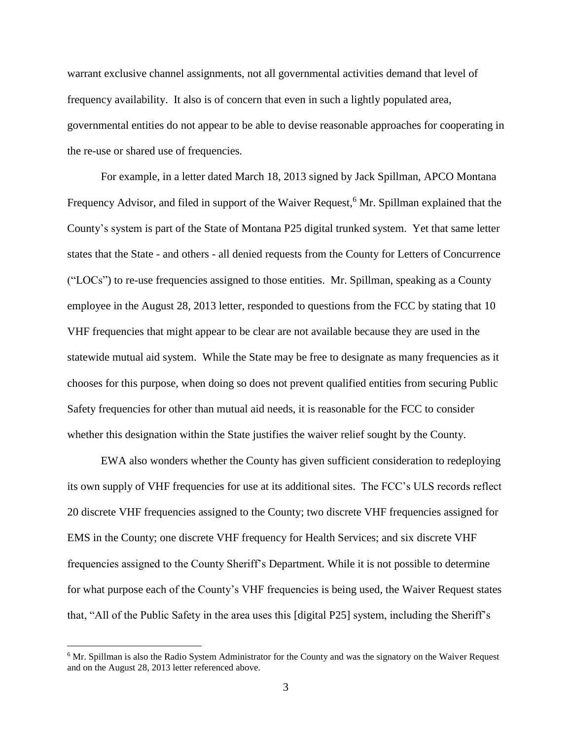warrant exclusive channel assignments, not all governmental activities demand that level of frequency availability. It also is of concern that even in such a lightly populated area, governmental entities do not appear to be able to devise reasonable approaches for cooperating in the re-use or shared use of frequencies.

For example, in a letter dated March 18, 2013 signed by Jack Spillman, APCO Montana Frequency Advisor, and filed in support of the Waiver Request,<sup>6</sup> Mr. Spillman explained that the County's system is part of the State of Montana P25 digital trunked system. Yet that same letter states that the State - and others - all denied requests from the County for Letters of Concurrence ("LOCs") to re-use frequencies assigned to those entities. Mr. Spillman, speaking as a County employee in the August 28, 2013 letter, responded to questions from the FCC by stating that 10 VHF frequencies that might appear to be clear are not available because they are used in the statewide mutual aid system. While the State may be free to designate as many frequencies as it chooses for this purpose, when doing so does not prevent qualified entities from securing Public Safety frequencies for other than mutual aid needs, it is reasonable for the FCC to consider whether this designation within the State justifies the waiver relief sought by the County.

EWA also wonders whether the County has given sufficient consideration to redeploying its own supply of VHF frequencies for use at its additional sites. The FCC's ULS records reflect 20 discrete VHF frequencies assigned to the County; two discrete VHF frequencies assigned for EMS in the County; one discrete VHF frequency for Health Services; and six discrete VHF frequencies assigned to the County Sheriff's Department. While it is not possible to determine for what purpose each of the County's VHF frequencies is being used, the Waiver Request states that, "All of the Public Safety in the area uses this [digital P25] system, including the Sheriff's

 $\overline{a}$ 

<sup>&</sup>lt;sup>6</sup> Mr. Spillman is also the Radio System Administrator for the County and was the signatory on the Waiver Request and on the August 28, 2013 letter referenced above.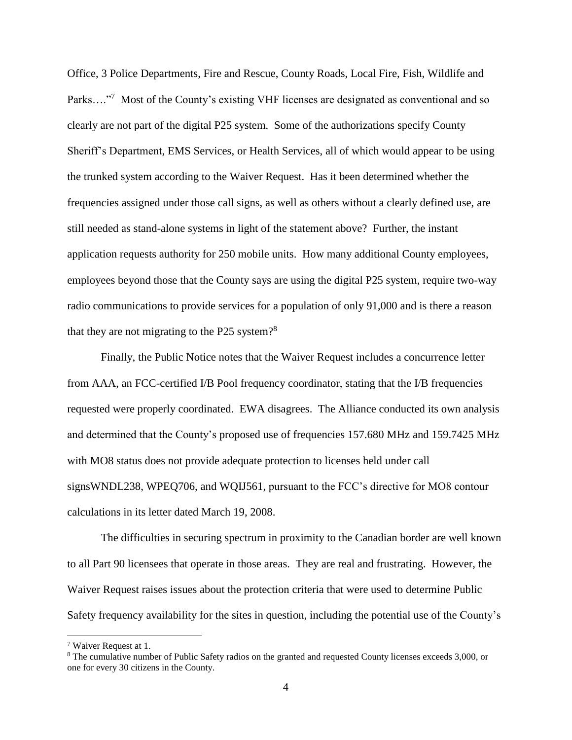Office, 3 Police Departments, Fire and Rescue, County Roads, Local Fire, Fish, Wildlife and Parks...."<sup>7</sup> Most of the County's existing VHF licenses are designated as conventional and so clearly are not part of the digital P25 system. Some of the authorizations specify County Sheriff's Department, EMS Services, or Health Services, all of which would appear to be using the trunked system according to the Waiver Request. Has it been determined whether the frequencies assigned under those call signs, as well as others without a clearly defined use, are still needed as stand-alone systems in light of the statement above? Further, the instant application requests authority for 250 mobile units. How many additional County employees, employees beyond those that the County says are using the digital P25 system, require two-way radio communications to provide services for a population of only 91,000 and is there a reason that they are not migrating to the P25 system?<sup>8</sup>

Finally, the Public Notice notes that the Waiver Request includes a concurrence letter from AAA, an FCC-certified I/B Pool frequency coordinator, stating that the I/B frequencies requested were properly coordinated. EWA disagrees. The Alliance conducted its own analysis and determined that the County's proposed use of frequencies 157.680 MHz and 159.7425 MHz with MO8 status does not provide adequate protection to licenses held under call signsWNDL238, WPEQ706, and WQIJ561, pursuant to the FCC's directive for MO8 contour calculations in its letter dated March 19, 2008.

The difficulties in securing spectrum in proximity to the Canadian border are well known to all Part 90 licensees that operate in those areas. They are real and frustrating. However, the Waiver Request raises issues about the protection criteria that were used to determine Public Safety frequency availability for the sites in question, including the potential use of the County's

 $\overline{a}$ 

<sup>7</sup> Waiver Request at 1.

<sup>8</sup> The cumulative number of Public Safety radios on the granted and requested County licenses exceeds 3,000, or one for every 30 citizens in the County.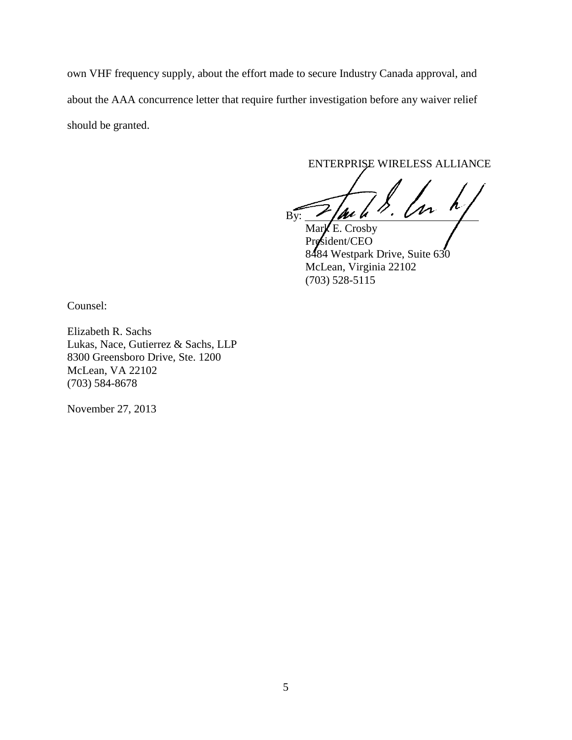own VHF frequency supply, about the effort made to secure Industry Canada approval, and about the AAA concurrence letter that require further investigation before any waiver relief should be granted.

ENTERPRISE WIRELESS ALLIANCE

 $By:$  / au u  $\prime \cdot$  UVV  $\cdot$ 

Mark E. Crosby President/CEO 8484 Westpark Drive, Suite 630 McLean, Virginia 22102 (703) 528-5115

Counsel:

Elizabeth R. Sachs Lukas, Nace, Gutierrez & Sachs, LLP 8300 Greensboro Drive, Ste. 1200 McLean, VA 22102 (703) 584-8678

November 27, 2013